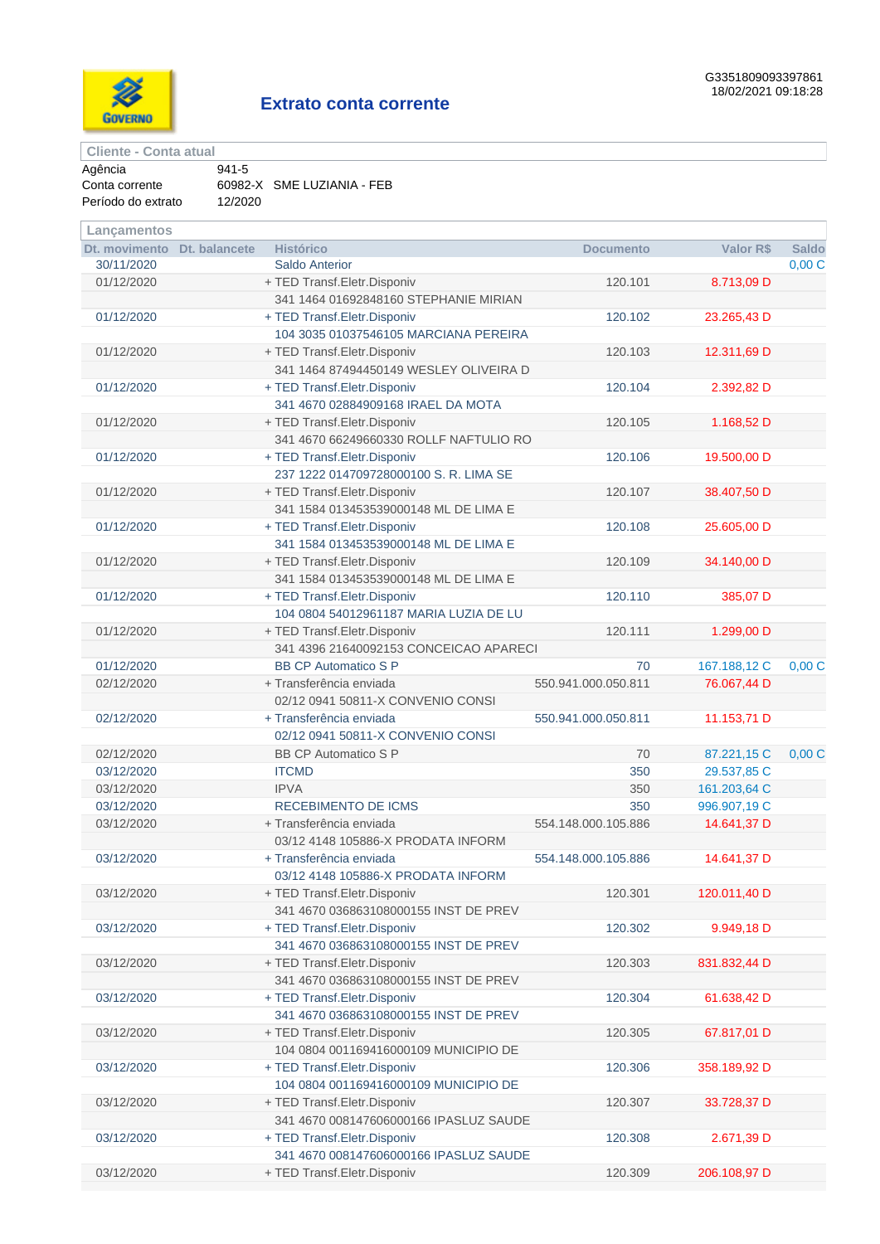

**Cliente - Conta atual**

| Agência            | $941 - 5$ |                            |
|--------------------|-----------|----------------------------|
| Conta corrente     |           | 60982-X SME LUZIANIA - FEB |
| Período do extrato | 12/2020   |                            |

| Lançamentos                               |                                           |                     |              |                       |
|-------------------------------------------|-------------------------------------------|---------------------|--------------|-----------------------|
| Dt. movimento Dt. balancete<br>30/11/2020 | <b>Histórico</b><br><b>Saldo Anterior</b> | <b>Documento</b>    | Valor R\$    | <b>Saldo</b><br>0,00C |
| 01/12/2020                                | + TED Transf.Eletr.Disponiv               | 120.101             | 8.713,09 D   |                       |
|                                           | 341 1464 01692848160 STEPHANIE MIRIAN     |                     |              |                       |
| 01/12/2020                                | + TED Transf.Eletr.Disponiv               | 120.102             | 23.265,43 D  |                       |
|                                           | 104 3035 01037546105 MARCIANA PEREIRA     |                     |              |                       |
| 01/12/2020                                | + TED Transf.Eletr.Disponiv               | 120.103             | 12.311,69 D  |                       |
|                                           | 341 1464 87494450149 WESLEY OLIVEIRA D    |                     |              |                       |
| 01/12/2020                                | + TED Transf.Eletr.Disponiv               | 120.104             | 2.392,82 D   |                       |
|                                           | 341 4670 02884909168 IRAEL DA MOTA        |                     |              |                       |
| 01/12/2020                                | + TED Transf.Eletr.Disponiv               | 120.105             | 1.168,52 D   |                       |
|                                           | 341 4670 66249660330 ROLLF NAFTULIO RO    |                     |              |                       |
| 01/12/2020                                | + TED Transf.Eletr.Disponiv               | 120.106             | 19.500,00 D  |                       |
|                                           | 237 1222 014709728000100 S. R. LIMA SE    |                     |              |                       |
| 01/12/2020                                | + TED Transf.Eletr.Disponiv               | 120.107             | 38.407,50 D  |                       |
|                                           | 341 1584 013453539000148 ML DE LIMA E     |                     |              |                       |
| 01/12/2020                                | + TED Transf.Eletr.Disponiv               | 120.108             | 25.605,00 D  |                       |
|                                           | 341 1584 013453539000148 ML DE LIMA E     |                     |              |                       |
| 01/12/2020                                | + TED Transf.Eletr.Disponiv               | 120.109             | 34.140,00 D  |                       |
|                                           | 341 1584 013453539000148 ML DE LIMA E     |                     |              |                       |
| 01/12/2020                                | + TED Transf.Eletr.Disponiv               | 120.110             | 385,07 D     |                       |
|                                           | 104 0804 54012961187 MARIA LUZIA DE LU    |                     |              |                       |
| 01/12/2020                                | + TED Transf.Eletr.Disponiv               | 120.111             | 1.299,00 D   |                       |
|                                           | 341 4396 21640092153 CONCEICAO APARECI    |                     |              |                       |
| 01/12/2020                                | <b>BB CP Automatico S P</b>               | 70                  | 167.188,12 C | 0,00C                 |
| 02/12/2020                                | + Transferência enviada                   | 550.941.000.050.811 | 76.067,44 D  |                       |
|                                           | 02/12 0941 50811-X CONVENIO CONSI         |                     |              |                       |
| 02/12/2020                                | + Transferência enviada                   | 550.941.000.050.811 | 11.153,71 D  |                       |
|                                           | 02/12 0941 50811-X CONVENIO CONSI         |                     |              |                       |
| 02/12/2020                                | <b>BB CP Automatico S P</b>               | 70                  | 87.221,15 C  | 0,00C                 |
| 03/12/2020                                | <b>ITCMD</b>                              | 350                 | 29.537,85 C  |                       |
| 03/12/2020                                | <b>IPVA</b>                               | 350                 | 161.203,64 C |                       |
| 03/12/2020                                | <b>RECEBIMENTO DE ICMS</b>                | 350                 | 996.907,19 C |                       |
| 03/12/2020                                | + Transferência enviada                   | 554.148.000.105.886 | 14.641,37 D  |                       |
|                                           | 03/12 4148 105886-X PRODATA INFORM        |                     |              |                       |
| 03/12/2020                                | + Transferência enviada                   | 554.148.000.105.886 | 14.641,37 D  |                       |
|                                           | 03/12 4148 105886-X PRODATA INFORM        |                     |              |                       |
| 03/12/2020                                | + TED Transf.Eletr.Disponiv               | 120.301             | 120.011,40 D |                       |
|                                           | 341 4670 036863108000155 INST DE PREV     |                     |              |                       |
| 03/12/2020                                | + TED Transf.Eletr.Disponiv               | 120.302             | 9.949,18 D   |                       |
|                                           | 341 4670 036863108000155 INST DE PREV     |                     |              |                       |
| 03/12/2020                                | + TED Transf.Eletr.Disponiv               | 120.303             | 831.832,44 D |                       |
|                                           | 341 4670 036863108000155 INST DE PREV     |                     |              |                       |
| 03/12/2020                                | + TED Transf.Eletr.Disponiv               | 120.304             | 61.638,42 D  |                       |
|                                           | 341 4670 036863108000155 INST DE PREV     |                     |              |                       |
| 03/12/2020                                | + TED Transf.Eletr.Disponiv               | 120.305             | 67.817,01 D  |                       |
|                                           | 104 0804 001169416000109 MUNICIPIO DE     |                     |              |                       |
| 03/12/2020                                | + TED Transf.Eletr.Disponiv               | 120.306             | 358.189,92 D |                       |
|                                           | 104 0804 001169416000109 MUNICIPIO DE     |                     |              |                       |
| 03/12/2020                                | + TED Transf.Eletr.Disponiv               | 120.307             | 33.728,37 D  |                       |
|                                           | 341 4670 008147606000166 IPASLUZ SAUDE    |                     |              |                       |
| 03/12/2020                                | + TED Transf.Eletr.Disponiv               | 120.308             | 2.671,39 D   |                       |
|                                           | 341 4670 008147606000166 IPASLUZ SAUDE    |                     |              |                       |
| 03/12/2020                                | + TED Transf.Eletr.Disponiv               | 120.309             | 206.108,97 D |                       |
|                                           |                                           |                     |              |                       |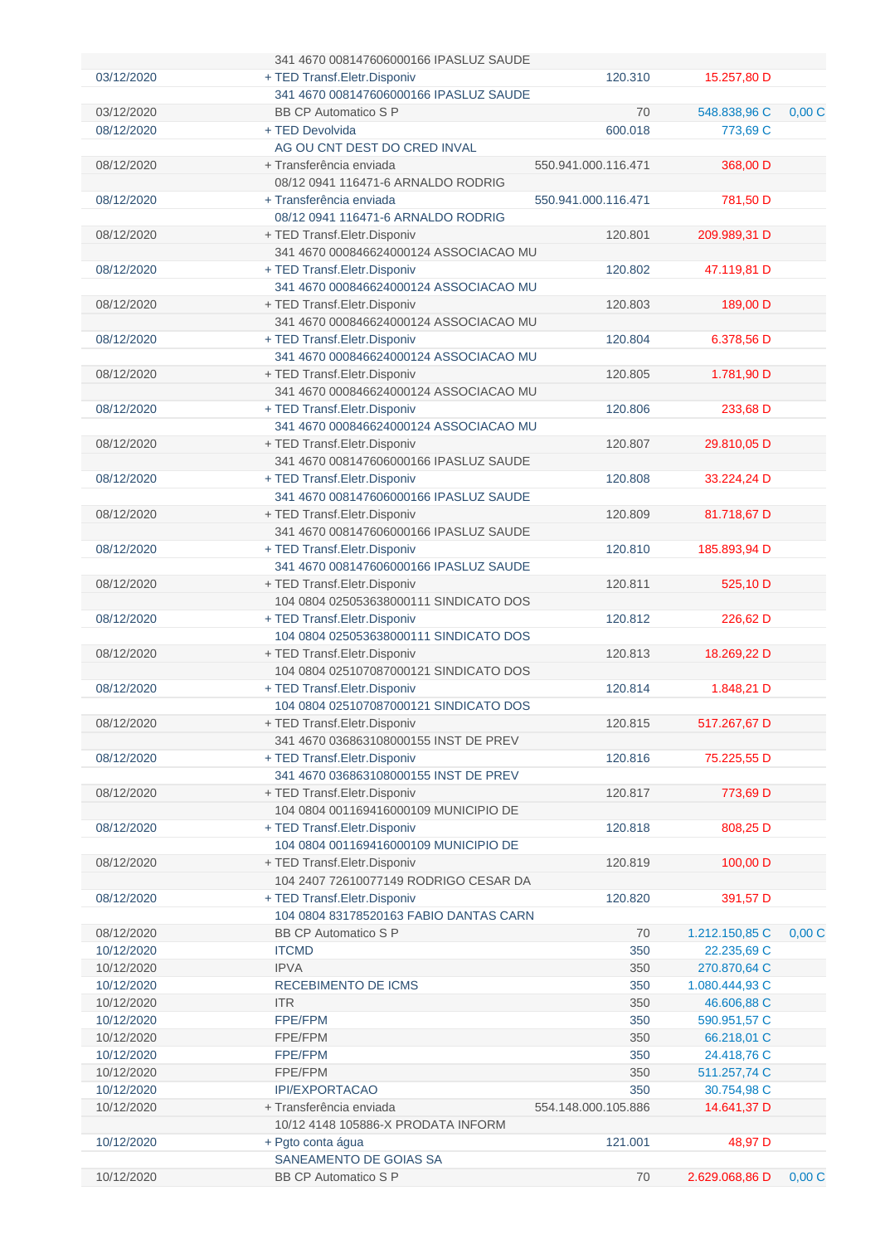|            | 341 4670 008147606000166 IPASLUZ SAUDE |                     |                |       |
|------------|----------------------------------------|---------------------|----------------|-------|
| 03/12/2020 | + TED Transf. Eletr. Disponiv          | 120.310             | 15.257,80 D    |       |
|            | 341 4670 008147606000166 IPASLUZ SAUDE |                     |                |       |
| 03/12/2020 | <b>BB CP Automatico S P</b>            | 70                  | 548.838,96 C   | 0,00C |
| 08/12/2020 | + TED Devolvida                        | 600.018             | 773,69 C       |       |
|            | AG OU CNT DEST DO CRED INVAL           |                     |                |       |
| 08/12/2020 | + Transferência enviada                | 550.941.000.116.471 | 368,00 D       |       |
|            | 08/12 0941 116471-6 ARNALDO RODRIG     |                     |                |       |
| 08/12/2020 | + Transferência enviada                | 550.941.000.116.471 | 781,50 D       |       |
|            | 08/12 0941 116471-6 ARNALDO RODRIG     |                     |                |       |
| 08/12/2020 | + TED Transf.Eletr.Disponiv            | 120.801             | 209.989,31 D   |       |
|            | 341 4670 000846624000124 ASSOCIACAO MU |                     |                |       |
| 08/12/2020 | + TED Transf.Eletr.Disponiv            | 120.802             | 47.119,81 D    |       |
|            | 341 4670 000846624000124 ASSOCIACAO MU |                     |                |       |
| 08/12/2020 | + TED Transf.Eletr.Disponiv            | 120.803             | 189,00 D       |       |
|            | 341 4670 000846624000124 ASSOCIACAO MU |                     |                |       |
| 08/12/2020 | + TED Transf.Eletr.Disponiv            | 120.804             | 6.378,56 D     |       |
|            | 341 4670 000846624000124 ASSOCIACAO MU |                     |                |       |
| 08/12/2020 | + TED Transf.Eletr.Disponiv            | 120.805             | 1.781,90 D     |       |
|            | 341 4670 000846624000124 ASSOCIACAO MU |                     |                |       |
| 08/12/2020 | + TED Transf. Eletr. Disponiv          | 120.806             | 233,68 D       |       |
|            | 341 4670 000846624000124 ASSOCIACAO MU |                     |                |       |
| 08/12/2020 | + TED Transf.Eletr.Disponiv            | 120.807             | 29.810,05 D    |       |
|            | 341 4670 008147606000166 IPASLUZ SAUDE |                     |                |       |
| 08/12/2020 | + TED Transf.Eletr.Disponiv            | 120.808             | 33.224,24 D    |       |
|            | 341 4670 008147606000166 IPASLUZ SAUDE |                     |                |       |
| 08/12/2020 | + TED Transf.Eletr.Disponiv            | 120.809             | 81.718,67 D    |       |
|            | 341 4670 008147606000166 IPASLUZ SAUDE |                     |                |       |
| 08/12/2020 | + TED Transf.Eletr.Disponiv            | 120.810             | 185.893,94 D   |       |
|            | 341 4670 008147606000166 IPASLUZ SAUDE |                     |                |       |
| 08/12/2020 | + TED Transf.Eletr.Disponiv            | 120.811             | 525,10 D       |       |
|            | 104 0804 025053638000111 SINDICATO DOS |                     |                |       |
| 08/12/2020 | + TED Transf.Eletr.Disponiv            | 120.812             | 226,62 D       |       |
|            | 104 0804 025053638000111 SINDICATO DOS |                     |                |       |
| 08/12/2020 | + TED Transf.Eletr.Disponiv            | 120.813             | 18.269,22 D    |       |
|            | 104 0804 025107087000121 SINDICATO DOS |                     |                |       |
| 08/12/2020 | + TED Transf.Eletr.Disponiv            | 120.814             | 1.848,21 D     |       |
|            | 104 0804 025107087000121 SINDICATO DOS |                     |                |       |
| 08/12/2020 | + TED Transf.Eletr.Disponiv            | 120.815             | 517.267,67 D   |       |
|            | 341 4670 036863108000155 INST DE PREV  |                     |                |       |
| 08/12/2020 | + TED Transf.Eletr.Disponiv            | 120.816             | 75.225,55 D    |       |
|            | 341 4670 036863108000155 INST DE PREV  |                     |                |       |
| 08/12/2020 | + TED Transf.Eletr.Disponiv            | 120.817             | 773,69 D       |       |
|            | 104 0804 001169416000109 MUNICIPIO DE  |                     |                |       |
| 08/12/2020 | + TED Transf.Eletr.Disponiv            | 120.818             | 808,25 D       |       |
|            | 104 0804 001169416000109 MUNICIPIO DE  |                     |                |       |
| 08/12/2020 | + TED Transf.Eletr.Disponiv            | 120.819             | 100,00 D       |       |
|            | 104 2407 72610077149 RODRIGO CESAR DA  |                     |                |       |
| 08/12/2020 | + TED Transf.Eletr.Disponiv            | 120.820             | 391,57 D       |       |
|            | 104 0804 83178520163 FABIO DANTAS CARN |                     |                |       |
| 08/12/2020 | <b>BB CP Automatico S P</b>            | 70                  | 1.212.150,85 C | 0,00C |
| 10/12/2020 | <b>ITCMD</b>                           | 350                 | 22.235,69 C    |       |
| 10/12/2020 | <b>IPVA</b>                            | 350                 | 270.870,64 C   |       |
| 10/12/2020 | RECEBIMENTO DE ICMS                    | 350                 | 1.080.444,93 C |       |
| 10/12/2020 | <b>ITR</b>                             | 350                 | 46.606,88 C    |       |
| 10/12/2020 | <b>FPE/FPM</b>                         | 350                 | 590.951,57 C   |       |
| 10/12/2020 | FPE/FPM                                | 350                 | 66.218,01 C    |       |
| 10/12/2020 | <b>FPE/FPM</b>                         | 350                 | 24.418,76 C    |       |
| 10/12/2020 | FPE/FPM                                | 350                 | 511.257,74 C   |       |
| 10/12/2020 | <b>IPI/EXPORTACAO</b>                  | 350                 | 30.754,98 C    |       |
| 10/12/2020 | + Transferência enviada                | 554.148.000.105.886 | 14.641,37 D    |       |
|            | 10/12 4148 105886-X PRODATA INFORM     |                     |                |       |
| 10/12/2020 | + Pgto conta água                      | 121.001             | 48,97 D        |       |
|            | SANEAMENTO DE GOIAS SA                 |                     |                |       |
| 10/12/2020 | <b>BB CP Automatico S P</b>            | 70                  | 2.629.068,86 D | 0,00C |
|            |                                        |                     |                |       |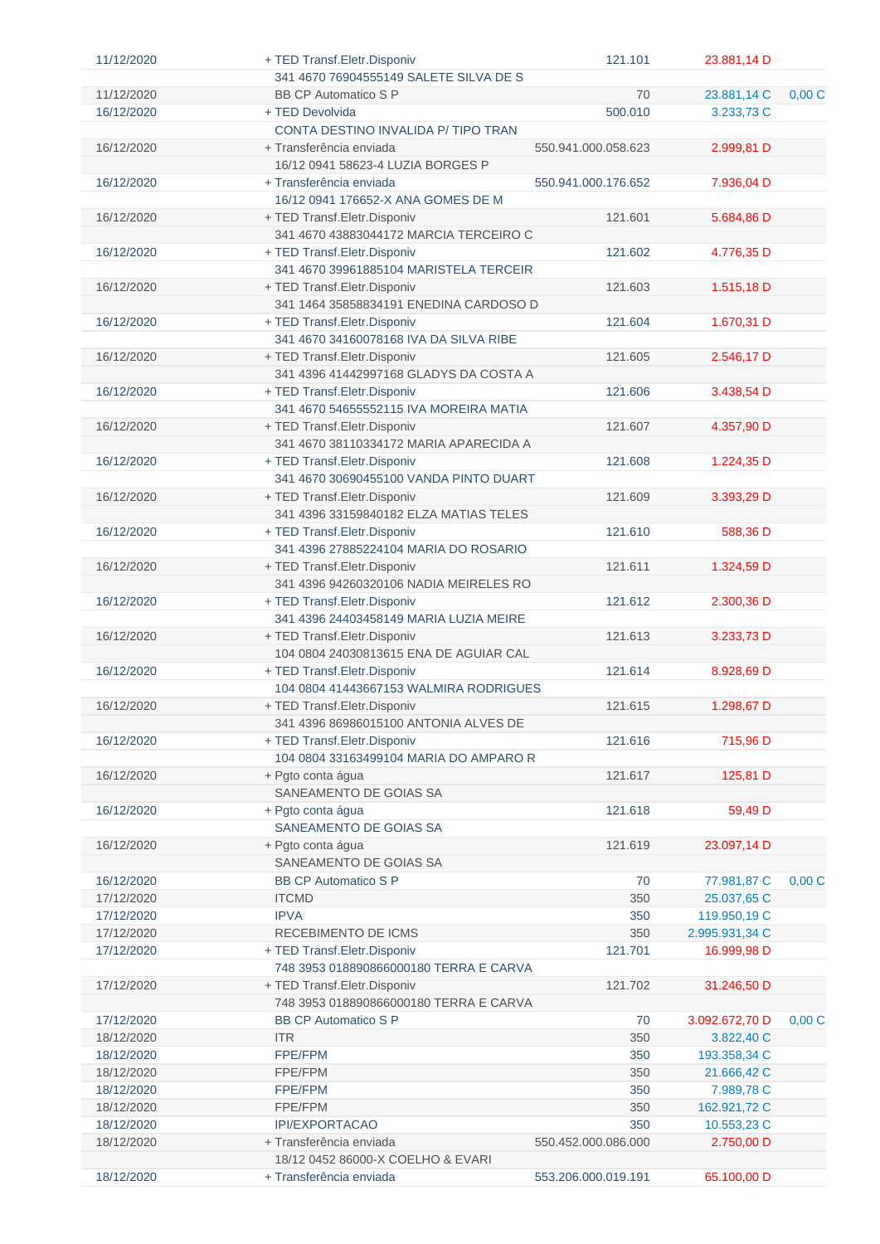| 11/12/2020               | + TED Transf.Eletr.Disponiv                                             | 121.101             | 23.881,14 D                  |       |
|--------------------------|-------------------------------------------------------------------------|---------------------|------------------------------|-------|
|                          | 341 4670 76904555149 SALETE SILVA DE S                                  |                     |                              |       |
| 11/12/2020               | <b>BB CP Automatico S P</b>                                             | 70                  | 23.881,14 C                  | 0,00C |
| 16/12/2020               | + TED Devolvida                                                         | 500.010             | 3.233,73 C                   |       |
|                          | CONTA DESTINO INVALIDA P/TIPO TRAN                                      |                     |                              |       |
| 16/12/2020               | + Transferência enviada                                                 | 550.941.000.058.623 | 2.999,81 D                   |       |
|                          | 16/12 0941 58623-4 LUZIA BORGES P                                       |                     |                              |       |
| 16/12/2020               | + Transferência enviada                                                 | 550.941.000.176.652 | 7.936,04 D                   |       |
|                          | 16/12 0941 176652-X ANA GOMES DE M                                      |                     |                              |       |
| 16/12/2020               | + TED Transf.Eletr.Disponiv                                             | 121.601             | 5.684,86 D                   |       |
|                          | 341 4670 43883044172 MARCIA TERCEIRO C                                  |                     |                              |       |
| 16/12/2020               | + TED Transf.Eletr.Disponiv                                             | 121.602             | 4.776,35 D                   |       |
|                          | 341 4670 39961885104 MARISTELA TERCEIR                                  |                     |                              |       |
| 16/12/2020               | + TED Transf.Eletr.Disponiv                                             | 121.603             | 1.515,18 D                   |       |
|                          | 341 1464 35858834191 ENEDINA CARDOSO D                                  |                     |                              |       |
| 16/12/2020               | + TED Transf.Eletr.Disponiv                                             | 121.604             | 1.670,31 D                   |       |
|                          | 341 4670 34160078168 IVA DA SILVA RIBE                                  |                     |                              |       |
| 16/12/2020               | + TED Transf.Eletr.Disponiv                                             | 121.605             | 2.546,17 D                   |       |
|                          | 341 4396 41442997168 GLADYS DA COSTA A                                  |                     |                              |       |
| 16/12/2020               | + TED Transf.Eletr.Disponiv                                             | 121.606             | 3.438,54 D                   |       |
|                          | 341 4670 54655552115 IVA MOREIRA MATIA                                  |                     |                              |       |
| 16/12/2020               | + TED Transf. Eletr. Disponiv                                           | 121.607             | 4.357,90 D                   |       |
|                          | 341 4670 38110334172 MARIA APARECIDA A                                  |                     |                              |       |
| 16/12/2020               | + TED Transf.Eletr.Disponiv                                             | 121.608             | 1.224,35 D                   |       |
|                          | 341 4670 30690455100 VANDA PINTO DUART                                  |                     |                              |       |
| 16/12/2020               | + TED Transf.Eletr.Disponiv                                             | 121.609             | 3.393,29 D                   |       |
| 16/12/2020               | 341 4396 33159840182 ELZA MATIAS TELES<br>+ TED Transf. Eletr. Disponiv | 121.610             | 588,36 D                     |       |
|                          | 341 4396 27885224104 MARIA DO ROSARIO                                   |                     |                              |       |
| 16/12/2020               | + TED Transf. Eletr. Disponiv                                           | 121.611             | 1.324,59 D                   |       |
|                          | 341 4396 94260320106 NADIA MEIRELES RO                                  |                     |                              |       |
| 16/12/2020               | + TED Transf. Eletr. Disponiv                                           | 121.612             | 2.300,36 D                   |       |
|                          | 341 4396 24403458149 MARIA LUZIA MEIRE                                  |                     |                              |       |
| 16/12/2020               | + TED Transf. Eletr. Disponiv                                           | 121.613             | 3.233,73 D                   |       |
|                          | 104 0804 24030813615 ENA DE AGUIAR CAL                                  |                     |                              |       |
| 16/12/2020               | + TED Transf.Eletr.Disponiv                                             | 121.614             | 8.928,69 D                   |       |
|                          | 104 0804 41443667153 WALMIRA RODRIGUES                                  |                     |                              |       |
| 16/12/2020               | + TED Transf. Eletr. Disponiv                                           | 121.615             | 1.298,67 D                   |       |
|                          | 341 4396 86986015100 ANTONIA ALVES DE                                   |                     |                              |       |
| 16/12/2020               | + TED Transf. Eletr. Disponiv                                           | 121.616             | 715,96 D                     |       |
|                          | 104 0804 33163499104 MARIA DO AMPARO R                                  |                     |                              |       |
| 16/12/2020               | + Pgto conta água                                                       | 121.617             | 125,81 D                     |       |
|                          | SANEAMENTO DE GOIAS SA                                                  |                     |                              |       |
| 16/12/2020               | + Pgto conta água                                                       | 121.618             | 59,49 D                      |       |
|                          | SANEAMENTO DE GOIAS SA                                                  |                     |                              |       |
| 16/12/2020               | + Pgto conta água                                                       | 121.619             | 23.097,14 D                  |       |
|                          | SANEAMENTO DE GOIAS SA                                                  |                     |                              |       |
| 16/12/2020               | <b>BB CP Automatico S P</b>                                             | 70                  | 77.981,87 C                  | 0,00C |
| 17/12/2020               | <b>ITCMD</b>                                                            | 350                 | 25.037,65 C                  |       |
| 17/12/2020               | <b>IPVA</b>                                                             | 350                 | 119.950,19 C                 |       |
| 17/12/2020               | RECEBIMENTO DE ICMS                                                     | 350                 | 2.995.931,34 C               |       |
| 17/12/2020               | + TED Transf.Eletr.Disponiv                                             | 121.701             | 16.999,98 D                  |       |
|                          | 748 3953 018890866000180 TERRA E CARVA                                  |                     |                              |       |
| 17/12/2020               | + TED Transf. Eletr. Disponiv                                           | 121.702             | 31.246,50 D                  |       |
|                          | 748 3953 018890866000180 TERRA E CARVA                                  |                     |                              |       |
| 17/12/2020<br>18/12/2020 | <b>BB CP Automatico S P</b><br><b>ITR</b>                               | 70<br>350           | 3.092.672,70 D<br>3.822,40 C | 0,00C |
| 18/12/2020               | FPE/FPM                                                                 | 350                 | 193.358,34 C                 |       |
| 18/12/2020               | FPE/FPM                                                                 | 350                 | 21.666,42 C                  |       |
| 18/12/2020               | FPE/FPM                                                                 | 350                 | 7.989,78 C                   |       |
| 18/12/2020               | FPE/FPM                                                                 | 350                 | 162.921,72 C                 |       |
| 18/12/2020               | <b>IPI/EXPORTACAO</b>                                                   | 350                 | 10.553,23 C                  |       |
| 18/12/2020               | + Transferência enviada                                                 | 550.452.000.086.000 | 2.750,00 D                   |       |
|                          | 18/12 0452 86000-X COELHO & EVARI                                       |                     |                              |       |
| 18/12/2020               | + Transferência enviada                                                 | 553.206.000.019.191 | 65.100,00 D                  |       |
|                          |                                                                         |                     |                              |       |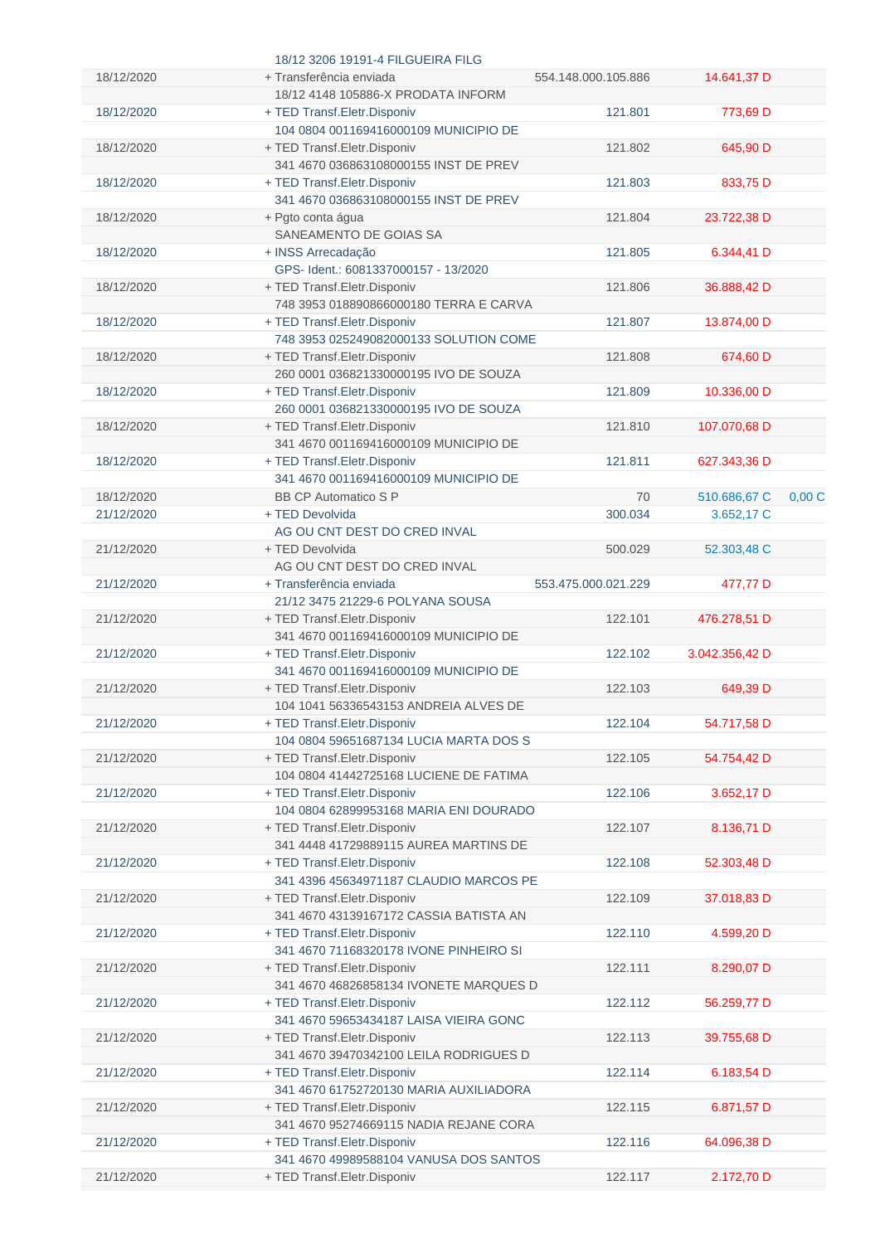|            | 18/12 3206 19191-4 FILGUEIRA FILG                                     |                     |                |       |
|------------|-----------------------------------------------------------------------|---------------------|----------------|-------|
| 18/12/2020 | + Transferência enviada                                               | 554.148.000.105.886 | 14.641,37 D    |       |
|            | 18/12 4148 105886-X PRODATA INFORM                                    |                     |                |       |
| 18/12/2020 | + TED Transf.Eletr.Disponiv                                           | 121.801             | 773,69 D       |       |
|            | 104 0804 001169416000109 MUNICIPIO DE                                 |                     |                |       |
| 18/12/2020 | + TED Transf.Eletr.Disponiv                                           | 121.802             | 645,90 D       |       |
|            | 341 4670 036863108000155 INST DE PREV                                 |                     |                |       |
| 18/12/2020 | + TED Transf.Eletr.Disponiv                                           | 121.803             | 833,75 D       |       |
|            | 341 4670 036863108000155 INST DE PREV                                 |                     |                |       |
| 18/12/2020 | + Pgto conta água                                                     | 121.804             | 23.722,38 D    |       |
|            | SANEAMENTO DE GOIAS SA                                                |                     |                |       |
| 18/12/2020 | + INSS Arrecadação                                                    | 121.805             | 6.344,41 D     |       |
|            | GPS- Ident.: 6081337000157 - 13/2020                                  |                     |                |       |
| 18/12/2020 | + TED Transf.Eletr.Disponiv                                           | 121.806             | 36.888,42 D    |       |
|            | 748 3953 018890866000180 TERRA E CARVA                                |                     |                |       |
| 18/12/2020 | + TED Transf.Eletr.Disponiv                                           | 121.807             | 13.874,00 D    |       |
|            | 748 3953 025249082000133 SOLUTION COME                                |                     |                |       |
| 18/12/2020 | + TED Transf.Eletr.Disponiv                                           | 121.808             | 674,60 D       |       |
|            | 260 0001 036821330000195 IVO DE SOUZA                                 |                     |                |       |
| 18/12/2020 | + TED Transf.Eletr.Disponiv                                           | 121.809             | 10.336,00 D    |       |
|            | 260 0001 036821330000195 IVO DE SOUZA                                 |                     |                |       |
| 18/12/2020 | + TED Transf.Eletr.Disponiv                                           | 121.810             | 107.070,68 D   |       |
|            | 341 4670 001169416000109 MUNICIPIO DE                                 |                     |                |       |
| 18/12/2020 | + TED Transf.Eletr.Disponiv                                           | 121.811             | 627.343,36 D   |       |
|            | 341 4670 001169416000109 MUNICIPIO DE                                 |                     |                |       |
| 18/12/2020 | <b>BB CP Automatico S P</b>                                           | 70                  | 510.686,67 C   | 0,00C |
| 21/12/2020 | + TED Devolvida                                                       | 300.034             | 3.652,17 C     |       |
|            | AG OU CNT DEST DO CRED INVAL                                          |                     |                |       |
| 21/12/2020 |                                                                       | 500.029             |                |       |
|            | + TED Devolvida<br>AG OU CNT DEST DO CRED INVAL                       |                     | 52.303,48 C    |       |
|            |                                                                       |                     |                |       |
| 21/12/2020 | + Transferência enviada                                               | 553.475.000.021.229 | 477,77 D       |       |
|            | 21/12 3475 21229-6 POLYANA SOUSA                                      |                     |                |       |
| 21/12/2020 | + TED Transf. Eletr. Disponiv                                         | 122.101             | 476.278,51 D   |       |
|            | 341 4670 001169416000109 MUNICIPIO DE                                 |                     |                |       |
| 21/12/2020 | + TED Transf.Eletr.Disponiv                                           | 122.102             | 3.042.356,42 D |       |
|            | 341 4670 001169416000109 MUNICIPIO DE                                 |                     |                |       |
| 21/12/2020 | + TED Transf.Eletr.Disponiv                                           | 122.103             | 649,39 D       |       |
|            | 104 1041 56336543153 ANDREIA ALVES DE                                 |                     |                |       |
| 21/12/2020 | + TED Transf.Eletr.Disponiv                                           | 122.104             | 54.717,58 D    |       |
|            | 104 0804 59651687134 LUCIA MARTA DOS S                                |                     |                |       |
| 21/12/2020 | + TED Transf.Eletr.Disponiv                                           | 122.105             | 54.754,42 D    |       |
|            | 104 0804 41442725168 LUCIENE DE FATIMA                                |                     |                |       |
| 21/12/2020 | + TED Transf.Eletr.Disponiv                                           | 122.106             | 3.652,17 D     |       |
|            | 104 0804 62899953168 MARIA ENI DOURADO                                |                     |                |       |
| 21/12/2020 | + TED Transf.Eletr.Disponiv                                           | 122.107             | 8.136,71 D     |       |
|            | 341 4448 41729889115 AUREA MARTINS DE                                 |                     |                |       |
| 21/12/2020 | + TED Transf.Eletr.Disponiv                                           | 122.108             | 52.303,48 D    |       |
|            | 341 4396 45634971187 CLAUDIO MARCOS PE                                |                     |                |       |
| 21/12/2020 | + TED Transf.Eletr.Disponiv                                           | 122.109             | 37.018,83 D    |       |
|            | 341 4670 43139167172 CASSIA BATISTA AN                                |                     |                |       |
| 21/12/2020 | + TED Transf.Eletr.Disponiv                                           | 122.110             | 4.599,20 D     |       |
|            | 341 4670 71168320178 IVONE PINHEIRO SI                                |                     |                |       |
| 21/12/2020 | + TED Transf.Eletr.Disponiv                                           | 122.111             | 8.290,07 D     |       |
|            | 341 4670 46826858134 IVONETE MARQUES D                                |                     |                |       |
| 21/12/2020 |                                                                       | 122.112             | 56.259,77 D    |       |
|            | + TED Transf.Eletr.Disponiv                                           |                     |                |       |
|            | 341 4670 59653434187 LAISA VIEIRA GONC                                |                     |                |       |
| 21/12/2020 | + TED Transf.Eletr.Disponiv                                           | 122.113             | 39.755,68 D    |       |
|            | 341 4670 39470342100 LEILA RODRIGUES D                                |                     |                |       |
|            |                                                                       |                     |                |       |
| 21/12/2020 | + TED Transf. Eletr. Disponiv                                         | 122.114             | 6.183,54 D     |       |
|            | 341 4670 61752720130 MARIA AUXILIADORA                                |                     |                |       |
| 21/12/2020 | + TED Transf.Eletr.Disponiv                                           | 122.115             | 6.871,57 D     |       |
|            | 341 4670 95274669115 NADIA REJANE CORA                                |                     |                |       |
| 21/12/2020 | + TED Transf.Eletr.Disponiv                                           | 122.116             | 64.096,38 D    |       |
| 21/12/2020 | 341 4670 49989588104 VANUSA DOS SANTOS<br>+ TED Transf.Eletr.Disponiv | 122.117             | 2.172,70 D     |       |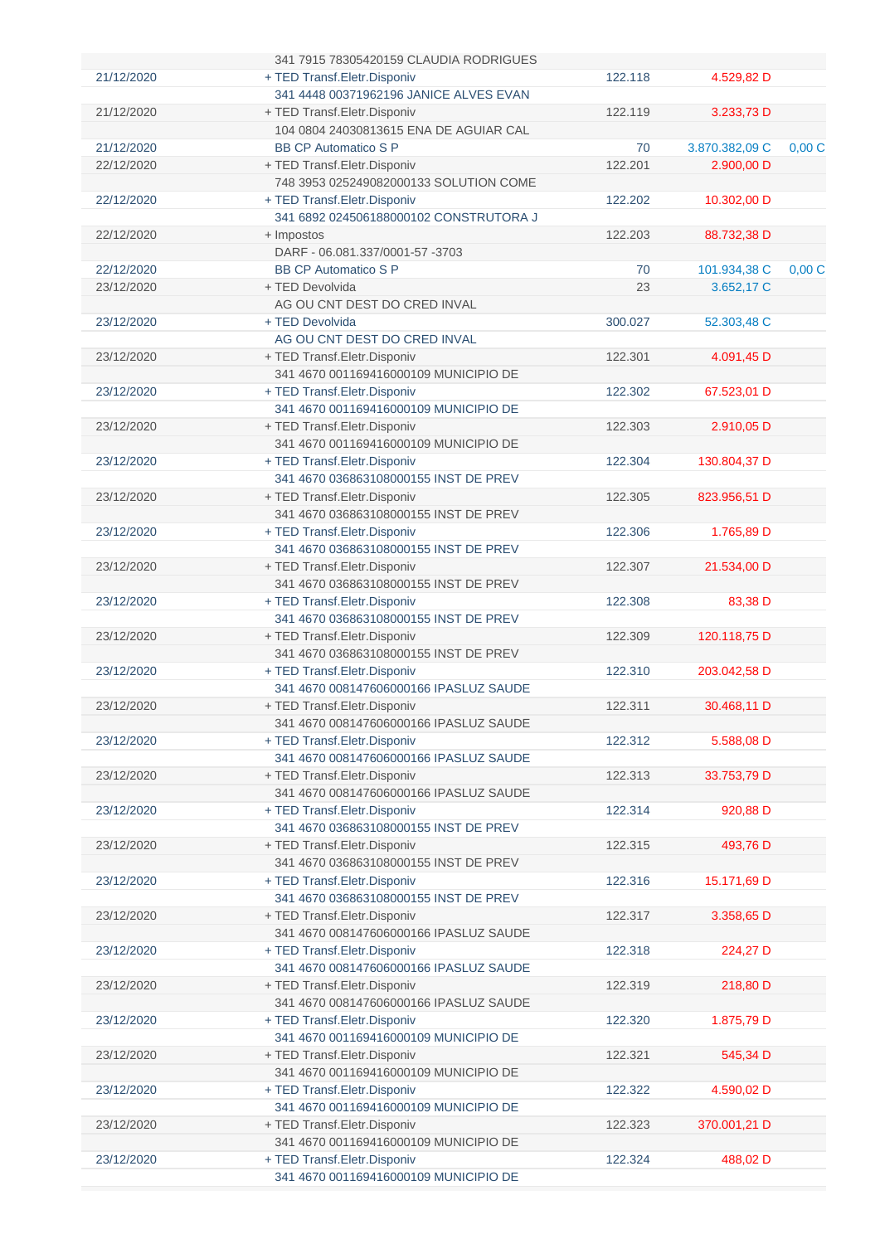|            | 341 7915 78305420159 CLAUDIA RODRIGUES |         |                |       |
|------------|----------------------------------------|---------|----------------|-------|
| 21/12/2020 | + TED Transf. Eletr. Disponiv          | 122.118 | 4.529,82 D     |       |
|            | 341 4448 00371962196 JANICE ALVES EVAN |         |                |       |
| 21/12/2020 | + TED Transf.Eletr.Disponiv            | 122.119 | 3.233,73 D     |       |
|            | 104 0804 24030813615 ENA DE AGUIAR CAL |         |                |       |
| 21/12/2020 | <b>BB CP Automatico S P</b>            | 70      | 3.870.382,09 C | 0,00C |
| 22/12/2020 | + TED Transf.Eletr.Disponiv            | 122.201 | 2.900,00 D     |       |
|            | 748 3953 025249082000133 SOLUTION COME |         |                |       |
| 22/12/2020 | + TED Transf.Eletr.Disponiv            | 122.202 | 10.302,00 D    |       |
|            | 341 6892 024506188000102 CONSTRUTORA J |         |                |       |
| 22/12/2020 | + Impostos                             | 122.203 | 88.732,38 D    |       |
|            | DARF - 06.081.337/0001-57 -3703        |         |                |       |
| 22/12/2020 | <b>BB CP Automatico S P</b>            | 70      |                | 0,00C |
|            |                                        |         | 101.934,38 C   |       |
| 23/12/2020 | + TED Devolvida                        | 23      | 3.652,17 C     |       |
|            | AG OU CNT DEST DO CRED INVAL           |         |                |       |
| 23/12/2020 | + TED Devolvida                        | 300.027 | 52.303,48 C    |       |
|            | AG OU CNT DEST DO CRED INVAL           |         |                |       |
| 23/12/2020 | + TED Transf. Eletr. Disponiv          | 122.301 | 4.091,45 D     |       |
|            | 341 4670 001169416000109 MUNICIPIO DE  |         |                |       |
| 23/12/2020 | + TED Transf. Eletr. Disponiv          | 122.302 | 67.523,01 D    |       |
|            | 341 4670 001169416000109 MUNICIPIO DE  |         |                |       |
| 23/12/2020 | + TED Transf.Eletr.Disponiv            | 122.303 | 2.910,05 D     |       |
|            | 341 4670 001169416000109 MUNICIPIO DE  |         |                |       |
| 23/12/2020 | + TED Transf.Eletr.Disponiv            | 122.304 | 130.804,37 D   |       |
|            | 341 4670 036863108000155 INST DE PREV  |         |                |       |
| 23/12/2020 | + TED Transf. Eletr. Disponiv          | 122.305 | 823.956,51 D   |       |
|            | 341 4670 036863108000155 INST DE PREV  |         |                |       |
| 23/12/2020 | + TED Transf.Eletr.Disponiv            | 122.306 | 1.765,89 D     |       |
|            | 341 4670 036863108000155 INST DE PREV  |         |                |       |
| 23/12/2020 | + TED Transf.Eletr.Disponiv            | 122.307 | 21.534,00 D    |       |
|            | 341 4670 036863108000155 INST DE PREV  |         |                |       |
| 23/12/2020 | + TED Transf. Eletr. Disponiv          | 122.308 | 83,38 D        |       |
|            | 341 4670 036863108000155 INST DE PREV  |         |                |       |
| 23/12/2020 |                                        | 122.309 | 120.118,75 D   |       |
|            | + TED Transf.Eletr.Disponiv            |         |                |       |
|            | 341 4670 036863108000155 INST DE PREV  |         |                |       |
| 23/12/2020 | + TED Transf.Eletr.Disponiv            | 122.310 | 203.042,58 D   |       |
|            | 341 4670 008147606000166 IPASLUZ SAUDE |         |                |       |
| 23/12/2020 | + TED Transf. Eletr. Disponiv          | 122.311 | 30.468,11 D    |       |
|            | 341 4670 008147606000166 IPASLUZ SAUDE |         |                |       |
| 23/12/2020 | + TED Transf.Eletr.Disponiv            | 122.312 | 5.588,08 D     |       |
|            | 341 4670 008147606000166 IPASLUZ SAUDE |         |                |       |
| 23/12/2020 | + TED Transf. Eletr. Disponiv          | 122.313 | 33.753,79 D    |       |
|            | 341 4670 008147606000166 IPASLUZ SAUDE |         |                |       |
| 23/12/2020 | + TED Transf.Eletr.Disponiv            | 122.314 | 920,88 D       |       |
|            | 341 4670 036863108000155 INST DE PREV  |         |                |       |
| 23/12/2020 | + TED Transf.Eletr.Disponiv            | 122.315 | 493,76 D       |       |
|            | 341 4670 036863108000155 INST DE PREV  |         |                |       |
| 23/12/2020 | + TED Transf.Eletr.Disponiv            | 122.316 | 15.171,69 D    |       |
|            | 341 4670 036863108000155 INST DE PREV  |         |                |       |
| 23/12/2020 | + TED Transf. Eletr. Disponiv          | 122.317 | 3.358,65 D     |       |
|            | 341 4670 008147606000166 IPASLUZ SAUDE |         |                |       |
| 23/12/2020 | + TED Transf.Eletr.Disponiv            | 122.318 | 224,27 D       |       |
|            | 341 4670 008147606000166 IPASLUZ SAUDE |         |                |       |
|            |                                        | 122.319 |                |       |
| 23/12/2020 | + TED Transf. Eletr. Disponiv          |         | 218,80 D       |       |
|            | 341 4670 008147606000166 IPASLUZ SAUDE |         |                |       |
| 23/12/2020 | + TED Transf.Eletr.Disponiv            | 122.320 | 1.875,79 D     |       |
|            | 341 4670 001169416000109 MUNICIPIO DE  |         |                |       |
| 23/12/2020 | + TED Transf. Eletr. Disponiv          | 122.321 | 545,34 D       |       |
|            | 341 4670 001169416000109 MUNICIPIO DE  |         |                |       |
| 23/12/2020 | + TED Transf. Eletr. Disponiv          | 122.322 | 4.590,02 D     |       |
|            | 341 4670 001169416000109 MUNICIPIO DE  |         |                |       |
| 23/12/2020 | + TED Transf. Eletr. Disponiv          | 122.323 | 370.001,21 D   |       |
|            | 341 4670 001169416000109 MUNICIPIO DE  |         |                |       |
| 23/12/2020 | + TED Transf.Eletr.Disponiv            | 122.324 | 488,02 D       |       |
|            | 341 4670 001169416000109 MUNICIPIO DE  |         |                |       |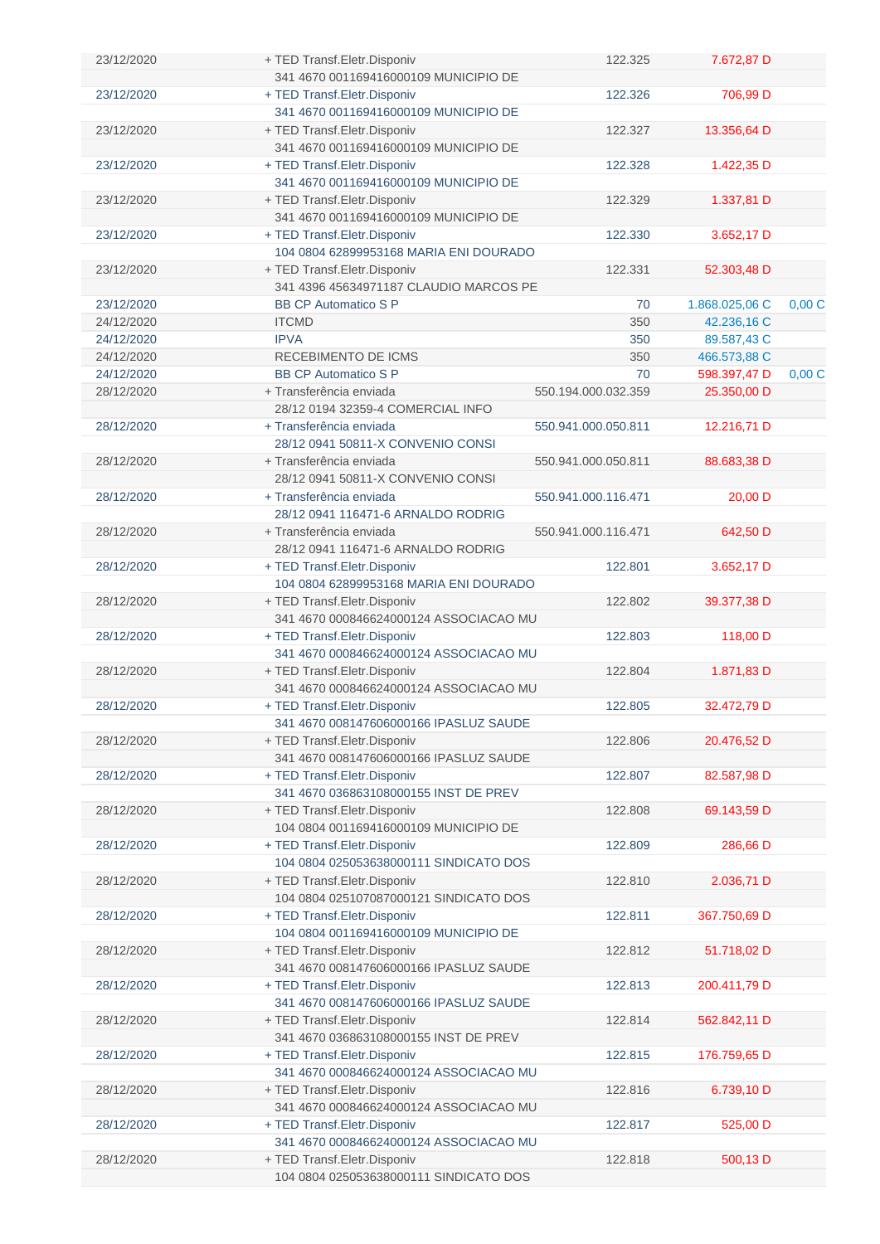| 23/12/2020 | + TED Transf.Eletr.Disponiv                                           | 122.325             | 7.672,87 D     |       |
|------------|-----------------------------------------------------------------------|---------------------|----------------|-------|
|            | 341 4670 001169416000109 MUNICIPIO DE                                 |                     |                |       |
| 23/12/2020 | + TED Transf.Eletr.Disponiv                                           | 122.326             | 706,99 D       |       |
|            | 341 4670 001169416000109 MUNICIPIO DE                                 |                     |                |       |
| 23/12/2020 | + TED Transf.Eletr.Disponiv                                           | 122.327             | 13.356,64 D    |       |
|            | 341 4670 001169416000109 MUNICIPIO DE                                 |                     |                |       |
| 23/12/2020 | + TED Transf.Eletr.Disponiv                                           | 122.328             | 1.422,35 D     |       |
|            | 341 4670 001169416000109 MUNICIPIO DE                                 |                     |                |       |
| 23/12/2020 | + TED Transf.Eletr.Disponiv                                           | 122.329             | 1.337,81 D     |       |
|            | 341 4670 001169416000109 MUNICIPIO DE                                 |                     |                |       |
| 23/12/2020 | + TED Transf.Eletr.Disponiv                                           | 122.330             | 3.652,17 D     |       |
|            | 104 0804 62899953168 MARIA ENI DOURADO                                |                     |                |       |
| 23/12/2020 | + TED Transf.Eletr.Disponiv                                           | 122.331             | 52.303,48 D    |       |
|            | 341 4396 45634971187 CLAUDIO MARCOS PE                                |                     |                |       |
| 23/12/2020 | <b>BB CP Automatico S P</b>                                           | 70                  | 1.868.025,06 C | 0,00C |
| 24/12/2020 | <b>ITCMD</b>                                                          | 350                 | 42.236,16 C    |       |
| 24/12/2020 | <b>IPVA</b>                                                           | 350                 | 89.587,43 C    |       |
| 24/12/2020 | RECEBIMENTO DE ICMS                                                   | 350                 | 466.573,88 C   |       |
| 24/12/2020 | <b>BB CP Automatico S P</b>                                           | 70                  | 598.397,47 D   | 0,00C |
| 28/12/2020 | + Transferência enviada                                               | 550.194.000.032.359 | 25.350,00 D    |       |
|            | 28/12 0194 32359-4 COMERCIAL INFO                                     |                     |                |       |
| 28/12/2020 | + Transferência enviada                                               | 550.941.000.050.811 | 12.216,71 D    |       |
|            | 28/12 0941 50811-X CONVENIO CONSI                                     |                     |                |       |
| 28/12/2020 | + Transferência enviada                                               | 550.941.000.050.811 | 88.683,38 D    |       |
|            | 28/12 0941 50811-X CONVENIO CONSI                                     |                     |                |       |
| 28/12/2020 | + Transferência enviada                                               | 550.941.000.116.471 | 20,00 D        |       |
|            | 28/12 0941 116471-6 ARNALDO RODRIG                                    |                     |                |       |
| 28/12/2020 | + Transferência enviada                                               | 550.941.000.116.471 | 642,50 D       |       |
|            | 28/12 0941 116471-6 ARNALDO RODRIG                                    |                     |                |       |
| 28/12/2020 | + TED Transf. Eletr. Disponiv                                         | 122.801             | 3.652,17 D     |       |
|            | 104 0804 62899953168 MARIA ENI DOURADO                                |                     |                |       |
| 28/12/2020 | + TED Transf. Eletr. Disponiv                                         | 122.802             | 39.377,38 D    |       |
|            | 341 4670 000846624000124 ASSOCIACAO MU                                |                     |                |       |
| 28/12/2020 | + TED Transf.Eletr.Disponiv                                           | 122.803             | 118,00 D       |       |
|            | 341 4670 000846624000124 ASSOCIACAO MU                                |                     |                |       |
| 28/12/2020 | + TED Transf. Eletr. Disponiv                                         | 122.804             | 1.871,83 D     |       |
|            | 341 4670 000846624000124 ASSOCIACAO MU                                |                     |                |       |
| 28/12/2020 | + TED Transf. Eletr. Disponiv                                         | 122.805             | 32.472.79 D    |       |
|            | 341 4670 008147606000166 IPASLUZ SAUDE                                |                     |                |       |
| 28/12/2020 | + TED Transf.Eletr.Disponiv                                           | 122.806             | 20.476,52 D    |       |
|            | 341 4670 008147606000166 IPASLUZ SAUDE                                |                     |                |       |
| 28/12/2020 | + TED Transf.Eletr.Disponiv                                           | 122.807             | 82.587,98 D    |       |
|            | 341 4670 036863108000155 INST DE PREV                                 |                     |                |       |
| 28/12/2020 | + TED Transf.Eletr.Disponiv                                           | 122.808             | 69.143,59 D    |       |
|            | 104 0804 001169416000109 MUNICIPIO DE                                 |                     |                |       |
| 28/12/2020 | + TED Transf.Eletr.Disponiv                                           | 122.809             | 286,66 D       |       |
|            | 104 0804 025053638000111 SINDICATO DOS                                |                     |                |       |
| 28/12/2020 | + TED Transf.Eletr.Disponiv                                           | 122.810             | 2.036,71 D     |       |
|            | 104 0804 025107087000121 SINDICATO DOS                                |                     |                |       |
| 28/12/2020 | + TED Transf.Eletr.Disponiv                                           | 122.811             | 367.750,69 D   |       |
|            | 104 0804 001169416000109 MUNICIPIO DE                                 |                     |                |       |
| 28/12/2020 | + TED Transf.Eletr.Disponiv                                           | 122.812             | 51.718,02 D    |       |
|            | 341 4670 008147606000166 IPASLUZ SAUDE                                |                     |                |       |
| 28/12/2020 | + TED Transf.Eletr.Disponiv<br>341 4670 008147606000166 IPASLUZ SAUDE | 122.813             | 200.411,79 D   |       |
|            |                                                                       |                     |                |       |
| 28/12/2020 | + TED Transf.Eletr.Disponiv<br>341 4670 036863108000155 INST DE PREV  | 122.814             | 562.842,11 D   |       |
|            |                                                                       |                     |                |       |
| 28/12/2020 | + TED Transf.Eletr.Disponiv<br>341 4670 000846624000124 ASSOCIACAO MU | 122.815             | 176.759,65 D   |       |
|            |                                                                       | 122.816             |                |       |
| 28/12/2020 | + TED Transf.Eletr.Disponiv<br>341 4670 000846624000124 ASSOCIACAO MU |                     | 6.739,10 D     |       |
| 28/12/2020 | + TED Transf. Eletr. Disponiv                                         | 122.817             | 525,00 D       |       |
|            | 341 4670 000846624000124 ASSOCIACAO MU                                |                     |                |       |
| 28/12/2020 | + TED Transf.Eletr.Disponiv                                           | 122.818             | 500,13 D       |       |
|            | 104 0804 025053638000111 SINDICATO DOS                                |                     |                |       |
|            |                                                                       |                     |                |       |